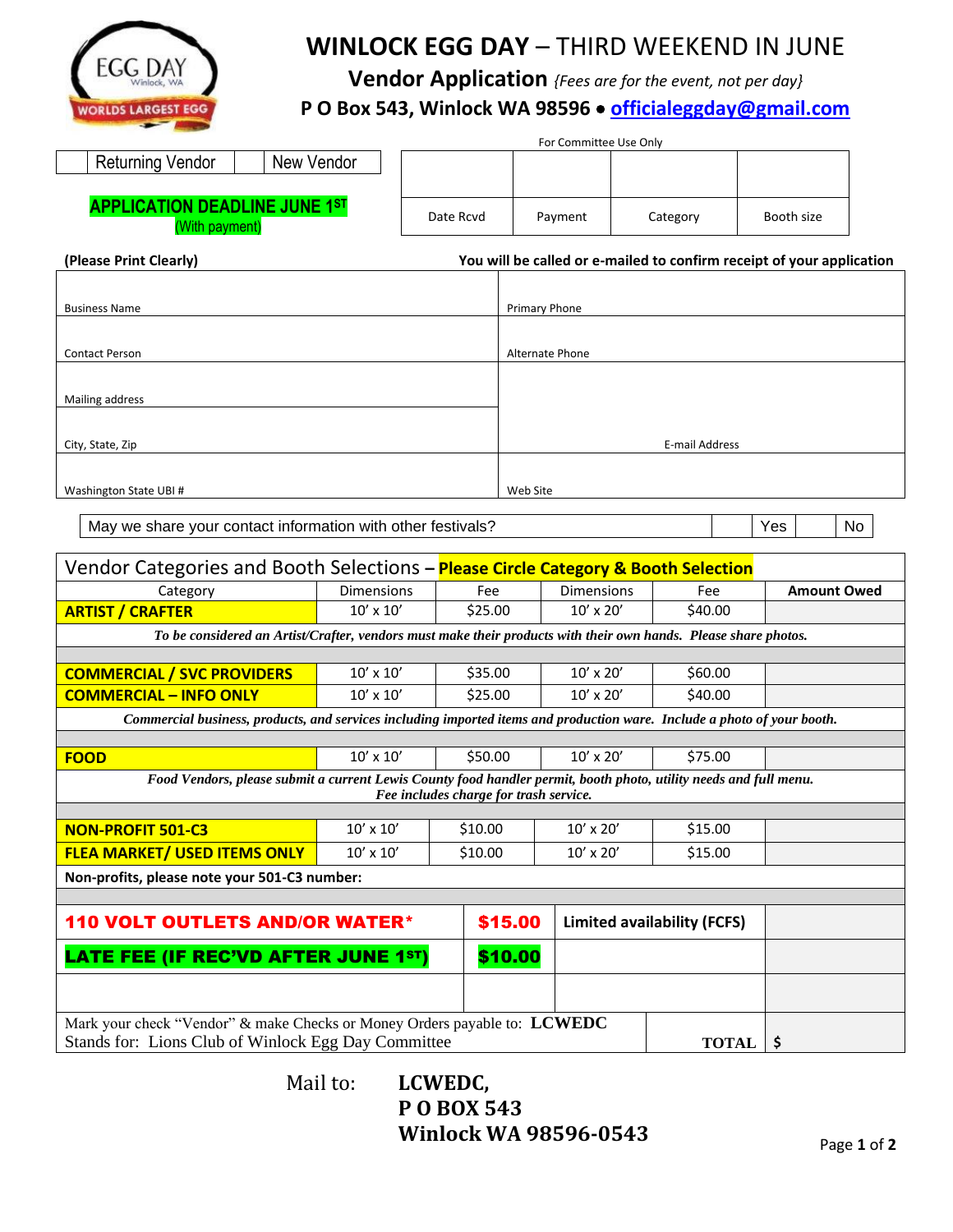

## **WINLOCK EGG DAY** – THIRD WEEKEND IN JUNE

**Vendor Application** *{Fees are for the event, not per day}*

## **P O Box 543, Winlock WA 98596** • **[officialeggday@gmail.com](mailto:officialeggday@gmail.com)**

|                                                        |           | For Committee Use Only |          |                                                                       |
|--------------------------------------------------------|-----------|------------------------|----------|-----------------------------------------------------------------------|
| Returning Vendor<br>New Vendor                         |           |                        |          |                                                                       |
| <b>APPLICATION DEADLINE JUNE 1ST</b><br>(With payment) | Date Rcvd | Payment                | Category | Booth size                                                            |
| (Please Print Clearly)                                 |           |                        |          | You will be called or e-mailed to confirm receipt of your application |

| <b>Business Name</b>   | Primary Phone   |
|------------------------|-----------------|
|                        |                 |
|                        |                 |
| <b>Contact Person</b>  | Alternate Phone |
|                        |                 |
| Mailing address        |                 |
|                        |                 |
| City, State, Zip       | E-mail Address  |
|                        |                 |
| Washington State UBI # | Web Site        |

May we share your contact information with other festivals? Yes No

| Vendor Categories and Booth Selections - Please Circle Category & Booth Selection                                                                           |                                                                                                                 |         |                                    |              |                    |
|-------------------------------------------------------------------------------------------------------------------------------------------------------------|-----------------------------------------------------------------------------------------------------------------|---------|------------------------------------|--------------|--------------------|
| Category                                                                                                                                                    | <b>Dimensions</b>                                                                                               | Fee     | <b>Dimensions</b>                  | Fee          | <b>Amount Owed</b> |
| <b>ARTIST / CRAFTER</b>                                                                                                                                     | $10' \times 10'$                                                                                                | \$25.00 | $10' \times 20'$                   | \$40.00      |                    |
|                                                                                                                                                             | To be considered an Artist/Crafter, vendors must make their products with their own hands. Please share photos. |         |                                    |              |                    |
|                                                                                                                                                             |                                                                                                                 |         |                                    |              |                    |
| <b>COMMERCIAL / SVC PROVIDERS</b>                                                                                                                           | $10' \times 10'$                                                                                                | \$35.00 | $10' \times 20'$                   | \$60.00      |                    |
| <b>COMMERCIAL - INFO ONLY</b>                                                                                                                               | $10'$ x $10'$                                                                                                   | \$25.00 | $10' \times 20'$                   | \$40.00      |                    |
| Commercial business, products, and services including imported items and production ware. Include a photo of your booth.                                    |                                                                                                                 |         |                                    |              |                    |
|                                                                                                                                                             |                                                                                                                 |         |                                    |              |                    |
| <b>FOOD</b>                                                                                                                                                 | $10' \times 10'$                                                                                                | \$50.00 | $10' \times 20'$                   | \$75.00      |                    |
| Food Vendors, please submit a current Lewis County food handler permit, booth photo, utility needs and full menu.<br>Fee includes charge for trash service. |                                                                                                                 |         |                                    |              |                    |
|                                                                                                                                                             |                                                                                                                 |         |                                    |              |                    |
| <b>NON-PROFIT 501-C3</b>                                                                                                                                    | $10' \times 10'$                                                                                                | \$10.00 | $10' \times 20'$                   | \$15.00      |                    |
| <b>FLEA MARKET/ USED ITEMS ONLY</b>                                                                                                                         | $10' \times 10'$                                                                                                | \$10.00 | $10' \times 20'$                   | \$15.00      |                    |
| Non-profits, please note your 501-C3 number:                                                                                                                |                                                                                                                 |         |                                    |              |                    |
|                                                                                                                                                             |                                                                                                                 |         |                                    |              |                    |
| <b>110 VOLT OUTLETS AND/OR WATER*</b>                                                                                                                       |                                                                                                                 | \$15.00 | <b>Limited availability (FCFS)</b> |              |                    |
| <b>LATE FEE (IF REC'VD AFTER JUNE 1ST)</b>                                                                                                                  |                                                                                                                 | \$10.00 |                                    |              |                    |
|                                                                                                                                                             |                                                                                                                 |         |                                    |              |                    |
| Mark your check "Vendor" & make Checks or Money Orders payable to: LCWEDC                                                                                   |                                                                                                                 |         |                                    |              |                    |
| Stands for: Lions Club of Winlock Egg Day Committee                                                                                                         |                                                                                                                 |         |                                    | <b>TOTAL</b> | Ś                  |

Mail to: **LCWEDC, P O BOX 543 Winlock WA 98596-0543**